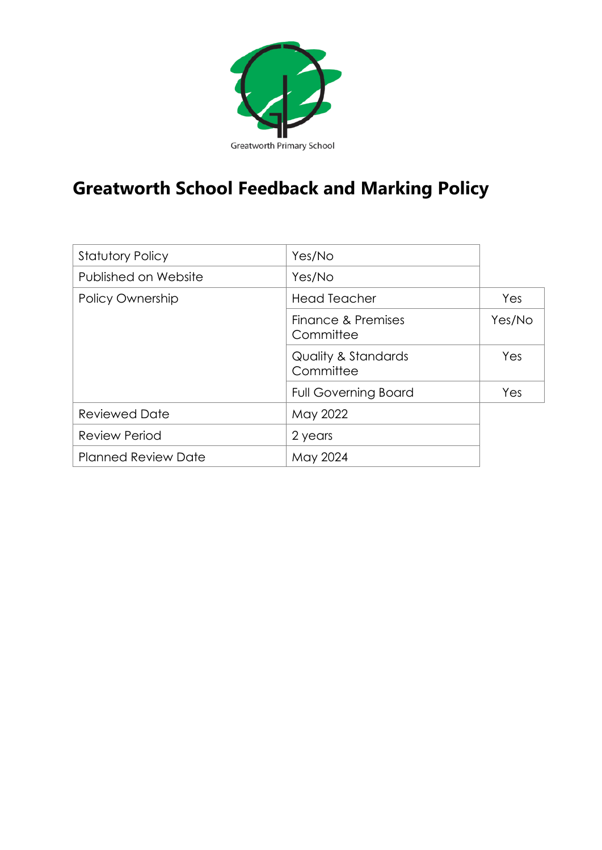

# **Greatworth School Feedback and Marking Policy**

| <b>Statutory Policy</b>    | Yes/No                                      |        |  |
|----------------------------|---------------------------------------------|--------|--|
| Published on Website       | Yes/No                                      |        |  |
| <b>Policy Ownership</b>    | <b>Head Teacher</b>                         | Yes    |  |
|                            | Finance & Premises<br>Committee             | Yes/No |  |
|                            | <b>Quality &amp; Standards</b><br>Committee | Yes    |  |
|                            | <b>Full Governing Board</b>                 | Yes    |  |
| <b>Reviewed Date</b>       | May 2022                                    |        |  |
| <b>Review Period</b>       | 2 years                                     |        |  |
| <b>Planned Review Date</b> | May 2024                                    |        |  |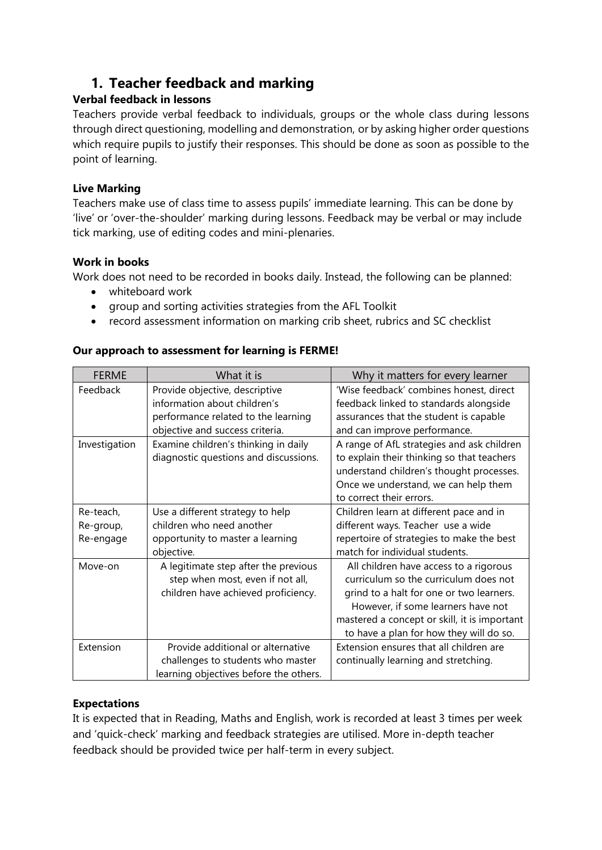# **1. Teacher feedback and marking**

# **Verbal feedback in lessons**

Teachers provide verbal feedback to individuals, groups or the whole class during lessons through direct questioning, modelling and demonstration, or by asking higher order questions which require pupils to justify their responses. This should be done as soon as possible to the point of learning.

#### **Live Marking**

Teachers make use of class time to assess pupils' immediate learning. This can be done by 'live' or 'over-the-shoulder' marking during lessons. Feedback may be verbal or may include tick marking, use of editing codes and mini-plenaries.

#### **Work in books**

Work does not need to be recorded in books daily. Instead, the following can be planned:

- whiteboard work
- group and sorting activities strategies from the AFL Toolkit
- record assessment information on marking crib sheet, rubrics and SC checklist

#### **Our approach to assessment for learning is FERME!**

| <b>FERME</b>  | What it is                             | Why it matters for every learner             |
|---------------|----------------------------------------|----------------------------------------------|
| Feedback      | Provide objective, descriptive         | 'Wise feedback' combines honest, direct      |
|               | information about children's           | feedback linked to standards alongside       |
|               | performance related to the learning    | assurances that the student is capable       |
|               | objective and success criteria.        | and can improve performance.                 |
| Investigation | Examine children's thinking in daily   | A range of AfL strategies and ask children   |
|               | diagnostic questions and discussions.  | to explain their thinking so that teachers   |
|               |                                        | understand children's thought processes.     |
|               |                                        | Once we understand, we can help them         |
|               |                                        | to correct their errors.                     |
| Re-teach,     | Use a different strategy to help       | Children learn at different pace and in      |
| Re-group,     | children who need another              | different ways. Teacher use a wide           |
| Re-engage     | opportunity to master a learning       | repertoire of strategies to make the best    |
|               | objective.                             | match for individual students.               |
| Move-on       | A legitimate step after the previous   | All children have access to a rigorous       |
|               | step when most, even if not all,       | curriculum so the curriculum does not        |
|               | children have achieved proficiency.    | grind to a halt for one or two learners.     |
|               |                                        | However, if some learners have not           |
|               |                                        | mastered a concept or skill, it is important |
|               |                                        | to have a plan for how they will do so.      |
| Extension     | Provide additional or alternative      | Extension ensures that all children are      |
|               | challenges to students who master      | continually learning and stretching.         |
|               | learning objectives before the others. |                                              |

#### **Expectations**

It is expected that in Reading, Maths and English, work is recorded at least 3 times per week and 'quick-check' marking and feedback strategies are utilised. More in-depth teacher feedback should be provided twice per half-term in every subject.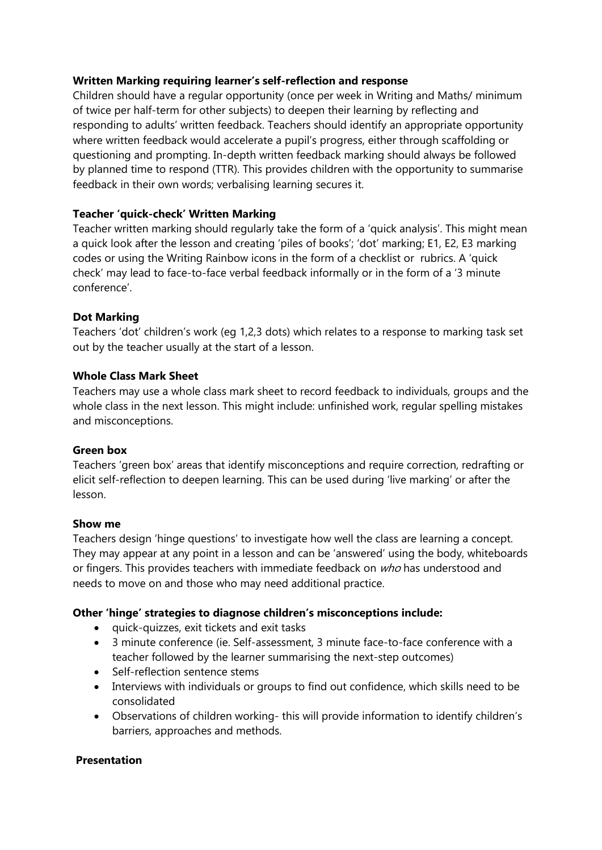#### **Written Marking requiring learner's self-reflection and response**

Children should have a regular opportunity (once per week in Writing and Maths/ minimum of twice per half-term for other subjects) to deepen their learning by reflecting and responding to adults' written feedback. Teachers should identify an appropriate opportunity where written feedback would accelerate a pupil's progress, either through scaffolding or questioning and prompting. In-depth written feedback marking should always be followed by planned time to respond (TTR). This provides children with the opportunity to summarise feedback in their own words; verbalising learning secures it.

#### **Teacher 'quick-check' Written Marking**

Teacher written marking should regularly take the form of a 'quick analysis'. This might mean a quick look after the lesson and creating 'piles of books'; 'dot' marking; E1, E2, E3 marking codes or using the Writing Rainbow icons in the form of a checklist or rubrics. A 'quick check' may lead to face-to-face verbal feedback informally or in the form of a '3 minute conference'.

#### **Dot Marking**

Teachers 'dot' children's work (eg 1,2,3 dots) which relates to a response to marking task set out by the teacher usually at the start of a lesson.

#### **Whole Class Mark Sheet**

Teachers may use a whole class mark sheet to record feedback to individuals, groups and the whole class in the next lesson. This might include: unfinished work, regular spelling mistakes and misconceptions.

#### **Green box**

Teachers 'green box' areas that identify misconceptions and require correction, redrafting or elicit self-reflection to deepen learning. This can be used during 'live marking' or after the lesson.

#### **Show me**

Teachers design 'hinge questions' to investigate how well the class are learning a concept. They may appear at any point in a lesson and can be 'answered' using the body, whiteboards or fingers. This provides teachers with immediate feedback on who has understood and needs to move on and those who may need additional practice.

#### **Other 'hinge' strategies to diagnose children's misconceptions include:**

- quick-quizzes, exit tickets and exit tasks
- 3 minute conference (ie. Self-assessment, 3 minute face-to-face conference with a teacher followed by the learner summarising the next-step outcomes)
- Self-reflection sentence stems
- Interviews with individuals or groups to find out confidence, which skills need to be consolidated
- Observations of children working- this will provide information to identify children's barriers, approaches and methods.

#### **Presentation**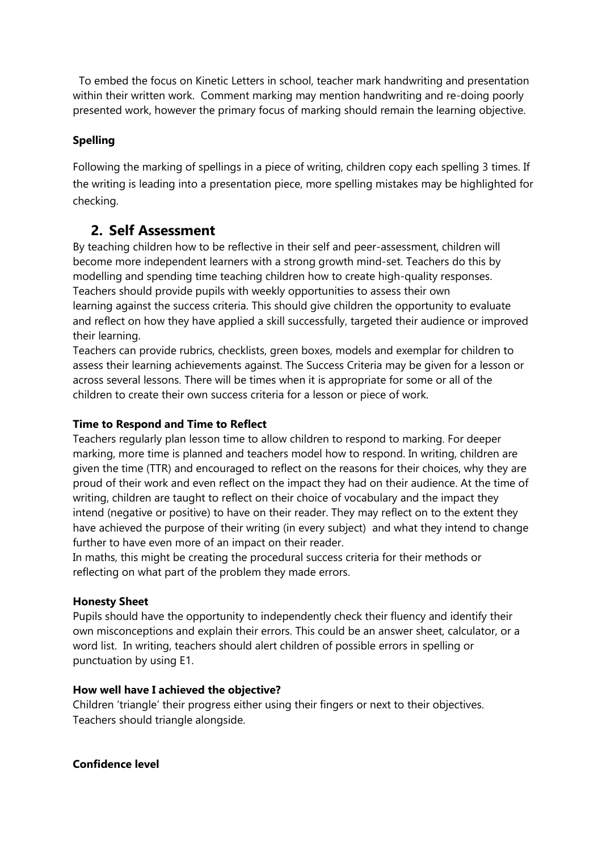To embed the focus on Kinetic Letters in school, teacher mark handwriting and presentation within their written work. Comment marking may mention handwriting and re-doing poorly presented work, however the primary focus of marking should remain the learning objective.

### **Spelling**

Following the marking of spellings in a piece of writing, children copy each spelling 3 times. If the writing is leading into a presentation piece, more spelling mistakes may be highlighted for checking.

# **2. Self Assessment**

By teaching children how to be reflective in their self and peer-assessment, children will become more independent learners with a strong growth mind-set. Teachers do this by modelling and spending time teaching children how to create high-quality responses. Teachers should provide pupils with weekly opportunities to assess their own learning against the success criteria. This should give children the opportunity to evaluate and reflect on how they have applied a skill successfully, targeted their audience or improved their learning.

Teachers can provide rubrics, checklists, green boxes, models and exemplar for children to assess their learning achievements against. The Success Criteria may be given for a lesson or across several lessons. There will be times when it is appropriate for some or all of the children to create their own success criteria for a lesson or piece of work.

#### **Time to Respond and Time to Reflect**

Teachers regularly plan lesson time to allow children to respond to marking. For deeper marking, more time is planned and teachers model how to respond. In writing, children are given the time (TTR) and encouraged to reflect on the reasons for their choices, why they are proud of their work and even reflect on the impact they had on their audience. At the time of writing, children are taught to reflect on their choice of vocabulary and the impact they intend (negative or positive) to have on their reader. They may reflect on to the extent they have achieved the purpose of their writing (in every subject) and what they intend to change further to have even more of an impact on their reader.

In maths, this might be creating the procedural success criteria for their methods or reflecting on what part of the problem they made errors.

#### **Honesty Sheet**

Pupils should have the opportunity to independently check their fluency and identify their own misconceptions and explain their errors. This could be an answer sheet, calculator, or a word list. In writing, teachers should alert children of possible errors in spelling or punctuation by using E1.

#### **How well have I achieved the objective?**

Children 'triangle' their progress either using their fingers or next to their objectives. Teachers should triangle alongside.

#### **Confidence level**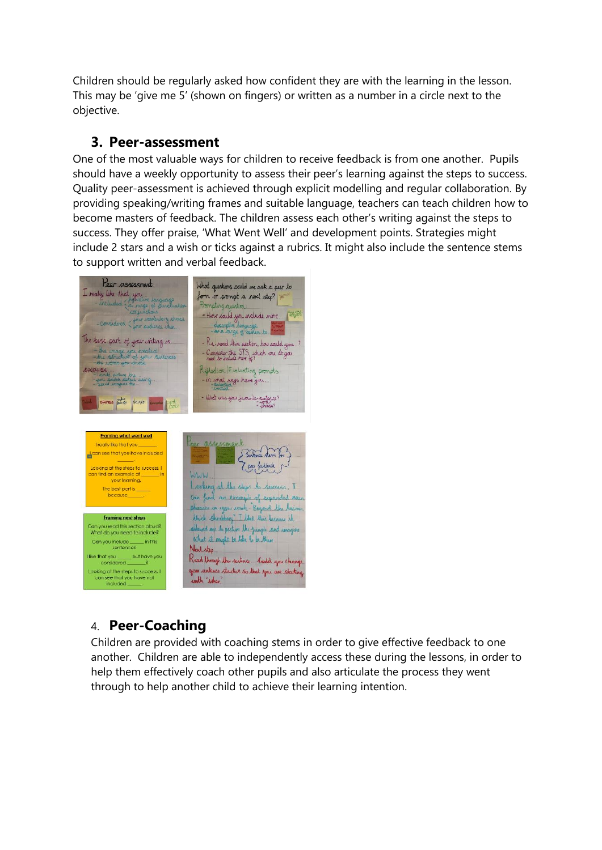Children should be regularly asked how confident they are with the learning in the lesson. This may be 'give me 5' (shown on fingers) or written as a number in a circle next to the objective.

# **3. Peer-assessment**

One of the most valuable ways for children to receive feedback is from one another. Pupils should have a weekly opportunity to assess their peer's learning against the steps to success. Quality peer-assessment is achieved through explicit modelling and regular collaboration. By providing speaking/writing frames and suitable language, teachers can teach children how to become masters of feedback. The children assess each other's writing against the steps to success. They offer praise, 'What Went Well' and development points. Strategies might include 2 stars and a wish or ticks against a rubrics. It might also include the sentence stems to support written and verbal feedback.



# 4. **Peer-Coaching**

Children are provided with coaching stems in order to give effective feedback to one another. Children are able to independently access these during the lessons, in order to help them effectively coach other pupils and also articulate the process they went through to help another child to achieve their learning intention.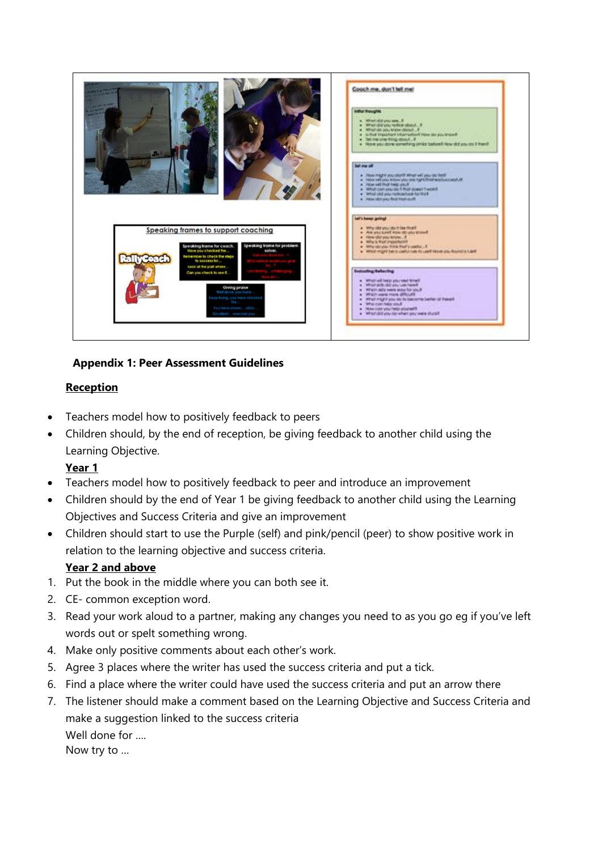

# **Appendix 1: Peer Assessment Guidelines**

# **Reception**

- Teachers model how to positively feedback to peers
- Children should, by the end of reception, be giving feedback to another child using the Learning Objective.

# **Year 1**

- Teachers model how to positively feedback to peer and introduce an improvement
- Children should by the end of Year 1 be giving feedback to another child using the Learning Objectives and Success Criteria and give an improvement
- Children should start to use the Purple (self) and pink/pencil (peer) to show positive work in relation to the learning objective and success criteria.

# **Year 2 and above**

- 1. Put the book in the middle where you can both see it.
- 2. CE- common exception word.
- 3. Read your work aloud to a partner, making any changes you need to as you go eg if you've left words out or spelt something wrong.
- 4. Make only positive comments about each other's work.
- 5. Agree 3 places where the writer has used the success criteria and put a tick.
- 6. Find a place where the writer could have used the success criteria and put an arrow there
- 7. The listener should make a comment based on the Learning Objective and Success Criteria and make a suggestion linked to the success criteria Well done for …. Now try to …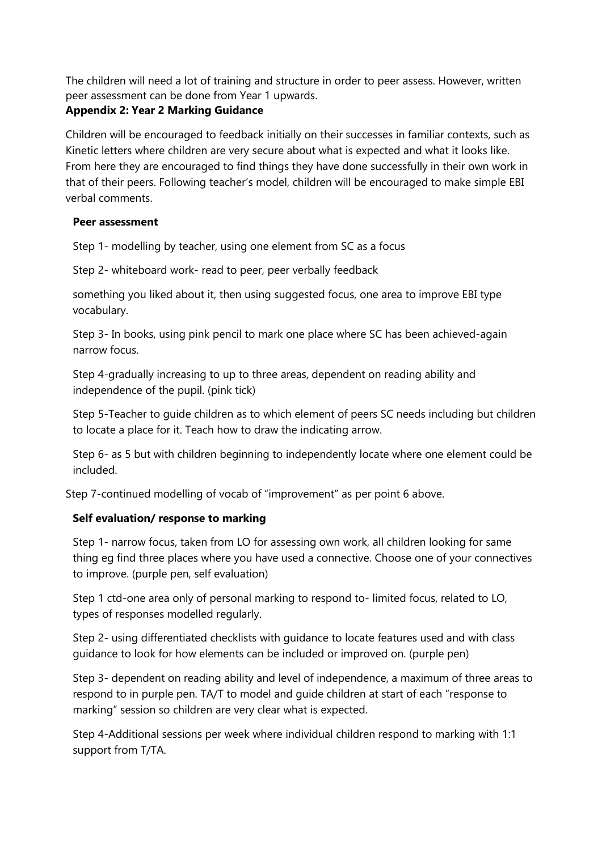The children will need a lot of training and structure in order to peer assess. However, written peer assessment can be done from Year 1 upwards.

# **Appendix 2: Year 2 Marking Guidance**

Children will be encouraged to feedback initially on their successes in familiar contexts, such as Kinetic letters where children are very secure about what is expected and what it looks like. From here they are encouraged to find things they have done successfully in their own work in that of their peers. Following teacher's model, children will be encouraged to make simple EBI verbal comments.

# **Peer assessment**

Step 1- modelling by teacher, using one element from SC as a focus

Step 2- whiteboard work- read to peer, peer verbally feedback

something you liked about it, then using suggested focus, one area to improve EBI type vocabulary.

Step 3- In books, using pink pencil to mark one place where SC has been achieved-again narrow focus.

Step 4-gradually increasing to up to three areas, dependent on reading ability and independence of the pupil. (pink tick)

Step 5-Teacher to guide children as to which element of peers SC needs including but children to locate a place for it. Teach how to draw the indicating arrow.

Step 6- as 5 but with children beginning to independently locate where one element could be included.

Step 7-continued modelling of vocab of "improvement" as per point 6 above.

# **Self evaluation/ response to marking**

Step 1- narrow focus, taken from LO for assessing own work, all children looking for same thing eg find three places where you have used a connective. Choose one of your connectives to improve. (purple pen, self evaluation)

Step 1 ctd-one area only of personal marking to respond to- limited focus, related to LO, types of responses modelled regularly.

Step 2- using differentiated checklists with guidance to locate features used and with class guidance to look for how elements can be included or improved on. (purple pen)

Step 3- dependent on reading ability and level of independence, a maximum of three areas to respond to in purple pen. TA/T to model and guide children at start of each "response to marking" session so children are very clear what is expected.

Step 4-Additional sessions per week where individual children respond to marking with 1:1 support from T/TA.